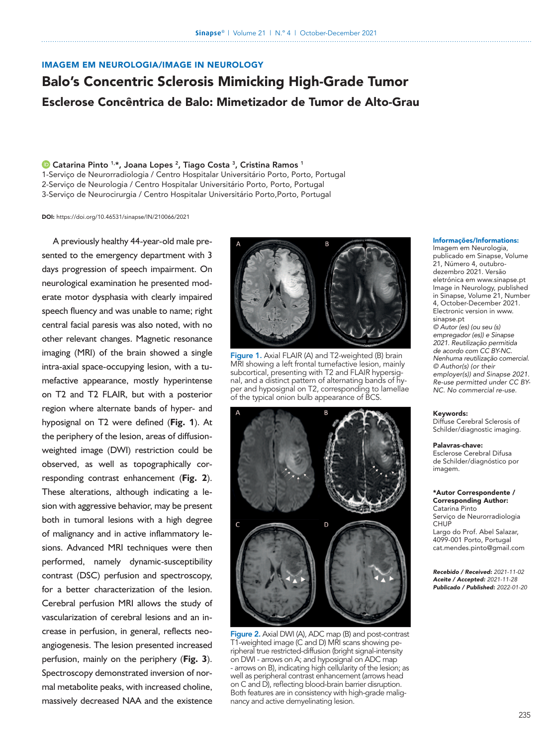# IMAGEM EM NEUROLOGIA/IMAGE IN NEUROLOGY

# Balo's Concentric Sclerosis Mimicking High-Grade Tumor Esclerose Concêntrica de Balo: Mimetizador de Tumor de Alto-Grau

# <sup>1</sup> [Catarina Pinto](https://orcid.org/0000-0003-0801-1153) <sup>1,\*</sup>, Joana Lopes<sup>2</sup>, Tiago Costa<sup>3</sup>, Cristina Ramos<sup>1</sup>

1-Serviço de Neurorradiologia / Centro Hospitalar Universitário Porto, Porto, Portugal

2-Serviço de Neurologia / Centro Hospitalar Universitário Porto, Porto, Portugal

3-Serviço de Neurocirurgia / Centro Hospitalar Universitário Porto,Porto, Portugal

DOI: <https://doi.org/10.46531/sinapse/IN/210066/2021>

A previously healthy 44-year-old male presented to the emergency department with 3 days progression of speech impairment. On neurological examination he presented moderate motor dysphasia with clearly impaired speech fluency and was unable to name; right central facial paresis was also noted, with no other relevant changes. Magnetic resonance imaging (MRI) of the brain showed a single intra-axial space-occupying lesion, with a tumefactive appearance, mostly hyperintense on T2 and T2 FLAIR, but with a posterior region where alternate bands of hyper- and hyposignal on T2 were defined (**Fig.** 1). At the periphery of the lesion, areas of diffusionweighted image (DWI) restriction could be observed, as well as topographically corresponding contrast enhancement (**Fig. 2**). These alterations, although indicating a lesion with aggressive behavior, may be present both in tumoral lesions with a high degree of malignancy and in active inflammatory lesions. Advanced MRI techniques were then performed, namely dynamic-susceptibility contrast (DSC) perfusion and spectroscopy, for a better characterization of the lesion. Cerebral perfusion MRI allows the study of vascularization of cerebral lesions and an increase in perfusion, in general, reflects neoangiogenesis. The lesion presented increased perfusion, mainly on the periphery (**Fig. 3**). Spectroscopy demonstrated inversion of normal metabolite peaks, with increased choline, massively decreased NAA and the existence



Figure 1. Axial FLAIR (A) and T2-weighted (B) brain MRI showing a left frontal tumefactive lesion, mainly subcortical, presenting with T2 and FLAIR hypersignal, and a distinct pattern of alternating bands of hyper and hyposignal on T2, corresponding to lamellae of the typical onion bulb appearance of BCS.



Figure 2. Axial DWI (A), ADC map (B) and post-contrast T1-weighted image (C and D) MRI scans showing peripheral true restricted-diffusion (bright signal-intensity on DWI - arrows on A; and hyposignal on ADC map - arrows on B), indicating high cellularity of the lesion; as well as peripheral contrast enhancement (arrows head on C and D), reflecting blood-brain barrier disruption. Both features are in consistency with high-grade malignancy and active demyelinating lesion.

#### Informações/Informations:

Imagem em Neurologia, publicado em Sinapse, Volume 21, Número 4, outubrodezembro 2021. Versão eletrónica em www.sinapse.pt Image in Neurology, published in Sinapse, Volume 21, Number 4, October-December 2021. Electronic version in www. sinapse.pt *© Autor (es) (ou seu (s) empregador (es)) e Sinapse 2021. Reutilização permitida de acordo com CC BY-NC. Nenhuma reutilização* c*omercial. © Author(s) (or their employer(s)) and Sinapse 2021. Re-use permitted under CC BY-NC. No commercial re-use.*

#### Keywords:

Diffuse Cerebral Sclerosis of Schilder/diagnostic imaging.

#### Palavras-chave:

Esclerose Cerebral Difusa de Schilder/diagnóstico por imagem.

#### \*Autor Correspondente / Corresponding Author:

Catarina Pinto Serviço de Neurorradiologia **CHUP** Largo do Prof. Abel Salazar,

4099-001 Porto, Portugal cat.mendes.pinto@gmail.com

*Recebido / Received: 2021-11-02 Aceite / Accepted: 2021-11-28 Publicado / Published: 2022-01-20*